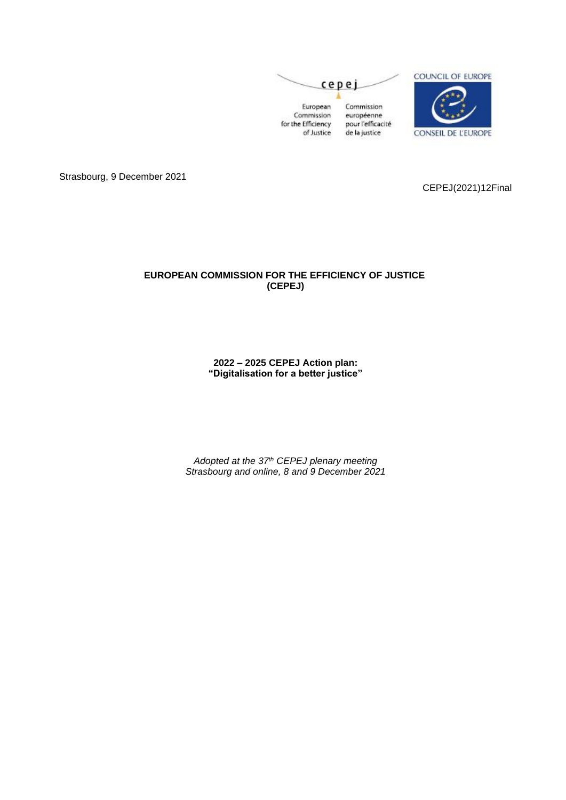

Strasbourg, 9 December 2021

CEPEJ(2021)12Final

## **EUROPEAN COMMISSION FOR THE EFFICIENCY OF JUSTICE (CEPEJ)**

**2022 – 2025 CEPEJ Action plan: "Digitalisation for a better justice"**

*Adopted at the 37th CEPEJ plenary meeting Strasbourg and online, 8 and 9 December 2021*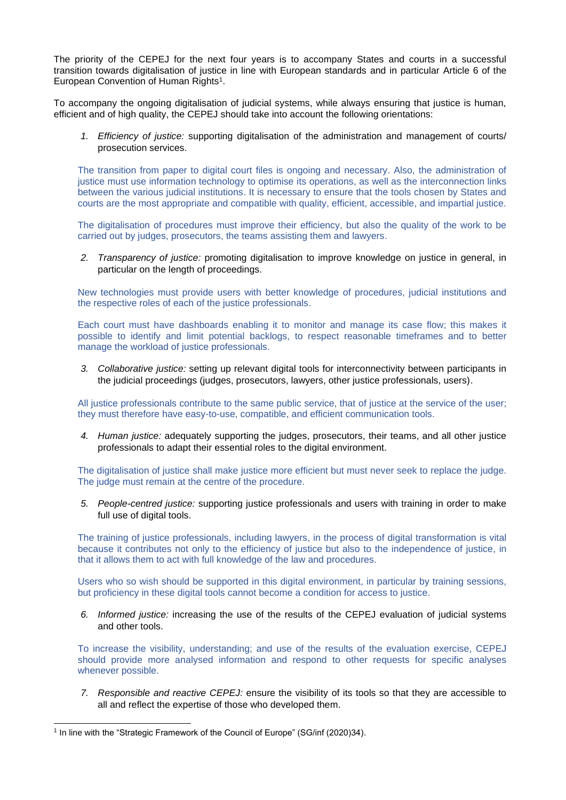The priority of the CEPEJ for the next four years is to accompany States and courts in a successful transition towards digitalisation of justice in line with European standards and in particular Article 6 of the European Convention of Human Rights<sup>1</sup>.

To accompany the ongoing digitalisation of judicial systems, while always ensuring that justice is human, efficient and of high quality, the CEPEJ should take into account the following orientations:

*1. Efficiency of justice:* supporting digitalisation of the administration and management of courts/ prosecution services.

The transition from paper to digital court files is ongoing and necessary. Also, the administration of justice must use information technology to optimise its operations, as well as the interconnection links between the various judicial institutions. It is necessary to ensure that the tools chosen by States and courts are the most appropriate and compatible with quality, efficient, accessible, and impartial justice.

The digitalisation of procedures must improve their efficiency, but also the quality of the work to be carried out by judges, prosecutors, the teams assisting them and lawyers.

*2. Transparency of justice:* promoting digitalisation to improve knowledge on justice in general, in particular on the length of proceedings.

New technologies must provide users with better knowledge of procedures, judicial institutions and the respective roles of each of the justice professionals.

Each court must have dashboards enabling it to monitor and manage its case flow; this makes it possible to identify and limit potential backlogs, to respect reasonable timeframes and to better manage the workload of justice professionals.

*3. Collaborative justice:* setting up relevant digital tools for interconnectivity between participants in the judicial proceedings (judges, prosecutors, lawyers, other justice professionals, users).

All justice professionals contribute to the same public service, that of justice at the service of the user; they must therefore have easy-to-use, compatible, and efficient communication tools.

*4. Human justice:* adequately supporting the judges, prosecutors, their teams, and all other justice professionals to adapt their essential roles to the digital environment.

The digitalisation of justice shall make justice more efficient but must never seek to replace the judge. The judge must remain at the centre of the procedure.

*5. People-centred justice:* supporting justice professionals and users with training in order to make full use of digital tools.

The training of justice professionals, including lawyers, in the process of digital transformation is vital because it contributes not only to the efficiency of justice but also to the independence of justice, in that it allows them to act with full knowledge of the law and procedures.

Users who so wish should be supported in this digital environment, in particular by training sessions, but proficiency in these digital tools cannot become a condition for access to justice.

*6. Informed justice:* increasing the use of the results of the CEPEJ evaluation of judicial systems and other tools.

To increase the visibility, understanding; and use of the results of the evaluation exercise, CEPEJ should provide more analysed information and respond to other requests for specific analyses whenever possible.

*7. Responsible and reactive CEPEJ:* ensure the visibility of its tools so that they are accessible to all and reflect the expertise of those who developed them.

<sup>&</sup>lt;sup>1</sup> In line with the "Strategic Framework of the Council of Europe" (SG/inf (2020)34).